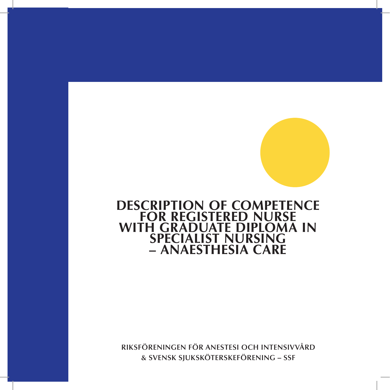# **Description of competence for Registered Nurse with Graduate Diploma in Specialist Nursing – Anaesthesia Care**

**Riksföreningen för anestesi och intensivvård & Svensk sjuksköterskeförening – SSF**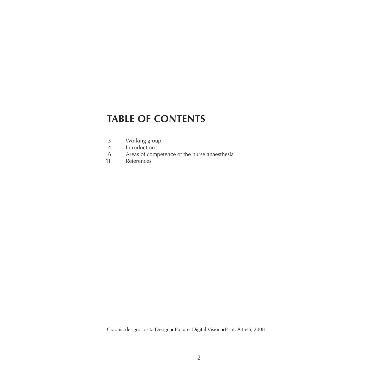## **table of contents**

- 3 Working group
- 4 Introduction
- 6 Areas of competence of the nurse anaesthesia
- 11 References

Graphic design: Losita Design ● Picture: Digital Vision ● Print: Åtta45, 2008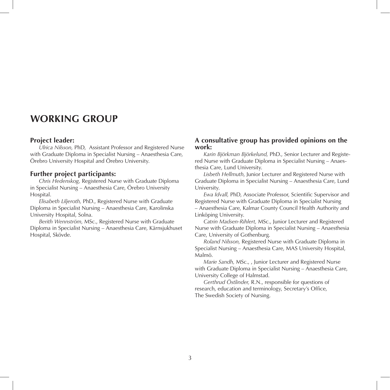## **Working GROUP**

#### **Project leader:**

*Ulrica Nilsson,* PhD, Assistant Professor and Registered Nurse with Graduate Diploma in Specialist Nursing – Anaesthesia Care, Örebro University Hospital and Örebro University.

### **Further project participants:**

*Chris Hedenskog,* Registered Nurse with Graduate Diploma in Specialist Nursing – Anaesthesia Care, Örebro University Hospital.

*Elisabeth Liljeroth,* PhD., Registered Nurse with Graduate Diploma in Specialist Nursing – Anaesthesia Care, Karolinska University Hospital, Solna.

*Berith Wennström,* MSc., Registered Nurse with Graduate Diploma in Specialist Nursing – Anaesthesia Care, Kärnsjukhuset Hospital, Skövde.

### **A consultative group has provided opinions on the work:**

*Karin Björkman Björkelund,* PhD., Senior Lecturer and Registered Nurse with Graduate Diploma in Specialist Nursing – Anaesthesia Care, Lund University.

*Lisbeth Hellmuth*, Junior Lecturer and Registered Nurse with Graduate Diploma in Specialist Nursing – Anaesthesia Care, Lund University.

*Ewa Idvall,* PhD, Associate Professor, Scientific Supervisor and Registered Nurse with Graduate Diploma in Specialist Nursing – Anaesthesia Care, Kalmar County Council Health Authority and Linköping University.

*Catrin Madsen-Rihlert,* MSc., Junior Lecturer and Registered Nurse with Graduate Diploma in Specialist Nursing – Anaesthesia Care, University of Gothenburg.

*Roland Nilsson,* Registered Nurse with Graduate Diploma in Specialist Nursing – Anaesthesia Care, MAS University Hospital, Malmö.

*Marie Sandh,* MSc., , Junior Lecturer and Registered Nurse with Graduate Diploma in Specialist Nursing – Anaesthesia Care, University College of Halmstad.

*Gerthrud Östlinder,* R.N., responsible for questions of research, education and terminology, Secretary's Office, The Swedish Society of Nursing.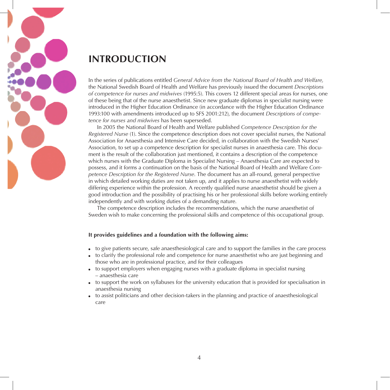

# **INTRODUCTION**

In the series of publications entitled *General Advice from the National Board of Health and Welfare,* the National Swedish Board of Health and Welfare has previously issued the document *Descriptions of competence for nurses and midwives* (1995:5). This covers 12 different special areas for nurses, one of these being that of the nurse anaesthetist. Since new graduate diplomas in specialist nursing were introduced in the Higher Education Ordinance (in accordance with the Higher Education Ordinance 1993:100 with amendments introduced up to SFS 2001:212), the document *Descriptions of competence for nurses and midwives* has been superseded.

In 2005 the National Board of Health and Welfare published *Competence Description for the Registered Nurse* (1). Since the competence description does not cover specialist nurses, the National Association for Anaesthesia and Intensive Care decided, in collaboration with the Swedish Nurses' Association, to set up a competence description for specialist nurses in anaesthesia care. This document is the result of the collaboration just mentioned, it contains a description of the competence which nurses with the Graduate Diploma in Specialist Nursing – Anaesthesia Care are expected to possess, and it forms a continuation on the basis of the National Board of Health and Welfare *Competence Description for the Registered Nurse*. The document has an all-round, general perspective in which detailed working duties are not taken up, and it applies to nurse anaesthetist with widely differing experience within the profession. A recently qualified nurse anaesthetist should be given a good introduction and the possibility of practising his or her professional skills before working entirely independently and with working duties of a demanding nature.

The competence description includes the recommendations, which the nurse anaesthetist of Sweden wish to make concerning the professional skills and competence of this occupational group.

#### **It provides guidelines and a foundation with the following aims:**

- to give patients secure, safe anaesthesiological care and to support the families in the care process
- to clarify the professional role and competence for nurse anaesthetist who are just beginning and those who are in professional practice, and for their colleagues
- to support employers when engaging nurses with a graduate diploma in specialist nursing – anaesthesia care
- to support the work on syllabuses for the university education that is provided for specialisation in anaesthesia nursing
- to assist politicians and other decision-takers in the planning and practice of anaesthesiological care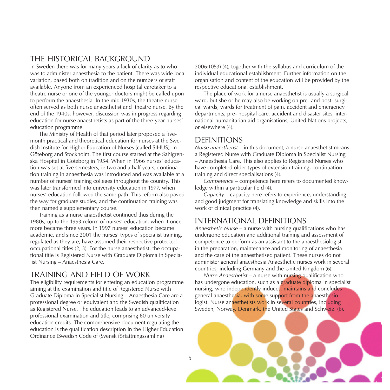### THE HISTORICAL BACKGROUND

In Sweden there was for many years a lack of clarity as to who was to administer anaesthesia to the patient. There was wide local variation, based both on tradition and on the numbers of staff available. Anyone from an experienced hospital caretaker to a theatre nurse or one of the younger doctors might be called upon to perform the anaesthesia. In the mid-1930s, the theatre nurse often served as both nurse anaesthetist and theatre nurse. By the end of the 1940s, however, discussion was in progress regarding education for nurse anaesthetists as part of the three-year nurses' education programme.

The Ministry of Health of that period later proposed a fivemonth practical and theoretical education for nurses at the Swedish Institute for Higher Education of Nurses (called SIHUS), in Göteborg and Stockholm. The first course started at the Sahlgrenska Hospital in Göteborg in 1954. When in 1966 nurses' education was set at five semesters, ie two and a half years, continuation training in anaesthesia was introduced and was available at a number of nurses' training colleges throughout the country. This was later transformed into university education in 1977, when nurses' education followed the same path. This reform also paved the way for graduate studies, and the continuation training was then named a supplementary course.

Training as a nurse anaesthetist continued thus during the 1980s, up to the 1993 reform of nurses' education, when it once more became three years. In 1997 nurses' education became academic, and since 2001 the nurses' types of specialist training, regulated as they are, have assumed their respective protected occupational titles (2, 3). For the nurse anaesthetist, the occupational title is Registered Nurse with Graduate Diploma in Specialist Nursing – Anaesthesia Care.

### Training and field of work

The eligibility requirements for entering an education programme aiming at the examination and title of Registered Nurse with Graduate Diploma in Specialist Nursing – Anaesthesia Care are a professional degree or equivalent and the Swedish qualification as Registered Nurse. The education leads to an advanced-level professional examination and title, comprising 60 university education credits. The comprehensive document regulating the education is the qualification description in the Higher Education Ordinance (Swedish Code of (Svensk författningssamling)

2006:1053) (4), together with the syllabus and curriculum of the individual educational establishment. Further information on the organisation and content of the education will be provided by the respective educational establishment.

The place of work for a nurse anaesthetist is usually a surgical ward, but she or he may also be working on pre- and post- surgical wards, wards for treatment of pain, accident and emergency departments, pre- hospital care, accident and disaster sites, international humanitarian aid organisations, United Nations projects, or elsewhere (4).

### **DEFINITIONS**

*Nurse anaesthetist* – in this document, a nurse anaesthetist means a Registered Nurse with Graduate Diploma in Specialist Nursing – Anaesthesia Care. This also applies to Registered Nurses who have completed older types of extension training, continuation training and direct specialisations (4).

*Competence* – competence here refers to documented knowledge within a particular field (4).

*Capacity* – capacity here refers to experience, understanding and good judgment for translating knowledge and skills into the work of clinical practice (4).

### International definitions

*Anaesthetic Nurse* – a nurse with nursing qualifications who has undergone education and additional training and assessment of competence to perform as an assistant to the anaesthesiologist in the preparation, maintenance and monitoring of anaesthesia and the care of the anaesthetised patient. These nurses do not administer general anaesthesia Anaesthetic nurses work in several countries, including Germany and the United Kingdom (6).

*Nurse Anaesthetist* – a nurse with nursing qualification who has undergone education, such as a graduate diploma in specialist nursing, who independently induces, maintains and concludes general anaesthesia, with some support from the anaesthesiologist. Nurse anaesthetists work in several countries, including Sweden, Norway, Denmark, the United States and Schweiz. (6).

5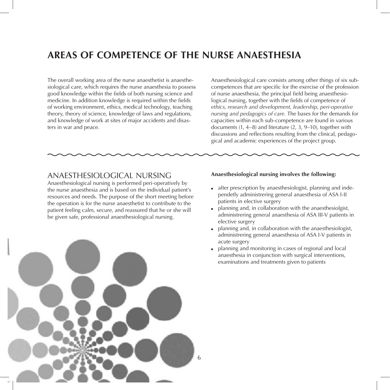# **AREAS OF COMPETENCE OF THE NURSE ANAESTHESIA**

The overall working area of the nurse anaesthetist is anaesthesiological care, which requires the nurse anaesthesia to possess good knowledge within the fields of both nursing science and medicine. In addition knowledge is required within the fields of working environment, ethics, medical technology, teaching theory, theory of science, knowledge of laws and regulations, and knowledge of work at sites of major accidents and disasters in war and peace.

Anaesthesiological care consists among other things of six subcompetences that are specific for the exercise of the profession of nurse anaesthesia, the principal field being anaesthesiological nursing, together with the fields of competence of *ethics, research and development, leadership, peri-operative nursing and pedagogics of care.* The bases for the demands for capacities within each sub-competence are found in various documents (1, 4–8) and literature (2, 3, 9–10), together with discussions and reflections resulting from the clinical, pedagogical and academic experiences of the project group.

### Anaesthesiological nursing

Anaesthesiological nursing is performed peri-operatively by the nurse anaesthesia and is based on the individual patient's resources and needs. The purpose of the short meeting before the operation is for the nurse anaesthetist to contribute to the patient feeling calm, secure, and reassured that he or she will be given safe, professional anaesthesiological nursing.



#### **Anaesthesiological nursing involves the following:**

- after prescription by anaesthesiologist, planning and independetly administrering general anaesthesia of ASA I-II patients in elective surgery
- planning and, in collaboration with the anaesthesiolgist, administrering general anaesthesia of ASA III-V patients in elective surgery
- planning and, in collaboration with the anaesthesiologist, administrering general anaesthesia of ASA I-V patients in acute surgery
- planning and monitoring in cases of regional and local anaesthesia in conjunction with surgical interventions, examinations and treatments given to patients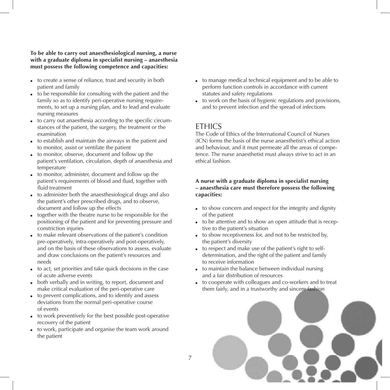**To be able to carry out anaesthesiological nursing, a nurse with a graduate diploma in specialist nursing – anaesthesia must possess the following competence and capacities:**

- to create a sense of reliance, trust and security in both patient and family
- $\bullet$  to be responsible for consulting with the patient and the family so as to identify peri-operative nursing requirements, to set up a nursing plan, and to lead and evaluate nursing measures
- to carry out anaesthesia according to the specific circumstances of the patient, the surgery, the treatment or the examination
- to establish and maintain the airways in the patient and to monitor, assist or ventilate the patient
- to monitor, observe, document and follow up the patient's ventilation, circulation, depth of anaesthesia and temperature
- to monitor, administer, document and follow up the patient's requirements of blood and fluid, together with fluid treatment
- to administer both the anaesthesiological drugs and also the patient's other prescribed drugs, and to observe, document and follow up the effects
- together with the theatre nurse to be responsible for the positioning of the patient and for preventing pressure and constriction injuries
- to make relevant observations of the patient's condition pre-operatively, intra-operatively and post-operatively, and on the basis of these observations to assess, evaluate and draw conclusions on the patient's resources and needs
- to act, set priorities and take quick decisions in the case of acute adverse events
- both verbally and in writing, to report, document and make critical evaluation of the peri-operative care
- to prevent complications, and to identify and assess deviations from the normal peri-operative course of events
- to work preventively for the best possible post-operative recovery of the patient
- to work, participate and organise the team work around the patient
- to manage medical technical equipment and to be able to perform function controls in accordance with current statutes and safety regulations
- to work on the basis of hygienic regulations and provisions, and to prevent infection and the spread of infections

## **FTHICS**

The Code of Ethics of the International Council of Nurses (ICN) forms the basis of the nurse anaesthetist's ethical action and behaviour, and it must permeate all the areas of competence. The nurse anaesthetist must always strive to act in an ethical fashion.

### **A nurse with a graduate diploma in specialist nursing – anaesthesia care must therefore possess the following capacities:**

- to show concern and respect for the integrity and dignity of the patient
- to be attentive and to show an open attitude that is receptive to the patient's situation
- to show receptiveness for, and not to be restricted by, the patient's diversity
- to respect and make use of the patient's right to selfdetermination, and the right of the patient and family to receive information
- to maintain the balance between individual nursing and a fair distribution of resources
- to cooperate with colleagues and co-workers and to treat them fairly, and in a trustworthy and sincere fashion

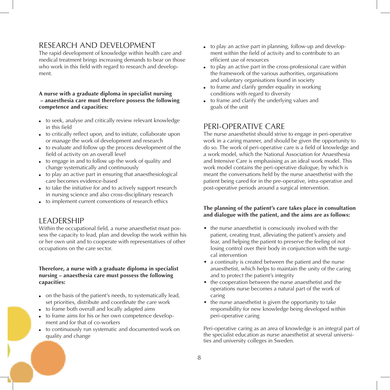## Research and development

The rapid development of knowledge within health care and medical treatment brings increasing demands to bear on those who work in this field with regard to research and development.

#### **A nurse with a graduate diploma in specialist nursing – anaesthesia care must therefore possess the following competence and capacities:**

- to seek, analyse and critically review relevant knowledge in this field
- to critically reflect upon, and to initiate, collaborate upon or manage the work of development and research
- to evaluate and follow up the process development of the field of activity on an overall level
- to engage in and to follow up the work of quality and change systematically and continuously
- to play an active part in ensuring that anaesthesiological care becomes evidence-based
- to take the initiative for and to actively support research in nursing science and also cross-disciplinary research
- to implement current conventions of research ethics

### **LEADERSHIP**

Within the occupational field, a nurse anaesthetist must possess the capacity to lead, plan and develop the work within his or her own unit and to cooperate with representatives of other occupations on the care sector.

#### **Therefore, a nurse with a graduate diploma in specialist nursing – anaesthesia care must possess the following capacities:**

- on the basis of the patient's needs, to systematically lead, set priorities, distribute and coordinate the care work
- to frame both overall and locally adapted aims
- to frame aims for his or her own competence development and for that of co-workers
- to continuously run systematic and documented work on quality and change
- to play an active part in planning, follow-up and development within the field of activity and to contribute to an efficient use of resources
- to play an active part in the cross-professional care within the framework of the various authorities, organisations and voluntary organisations found in society
- $\bullet$  to frame and clarify gender equality in working conditions with regard to diversity
- to frame and clarify the underlying values and goals of the unit

## Peri-operative care

The nurse anaesthetist should strive to engage in peri-operative work in a caring manner, and should be given the opportunity to do so. The work of peri-operative care is a field of knowledge and a work model, which the National Association for Anaesthesia and Intensive Care is emphasising as an ideal work model. This work model contains the peri-operative dialogue, by which is meant the conversations held by the nurse anaesthetist with the patient being cared for in the pre-operative, intra-operative and post-operative periods around a surgical intervention.

#### **The planning of the patient's care takes place in consultation and dialogue with the patient, and the aims are as follows:**

- the nurse anaesthetist is consciously involved with the patient, creating trust, alleviating the patient's anxiety and fear, and helping the patient to preserve the feeling of not losing control over their body in conjunction with the surgical intervention
- a continuity is created between the patient and the nurse anaesthetist, which helps to maintain the unity of the caring and to protect the patient's integrity
- the cooperation between the nurse anaesthetist and the operations nurse becomes a natural part of the work of caring
- the nurse anaesthetist is given the opportunity to take responsibility for new knowledge being developed within peri-operative caring

Peri-operative caring as an area of knowledge is an integral part of the specialist education as nurse anaesthetist at several universities and university colleges in Sweden.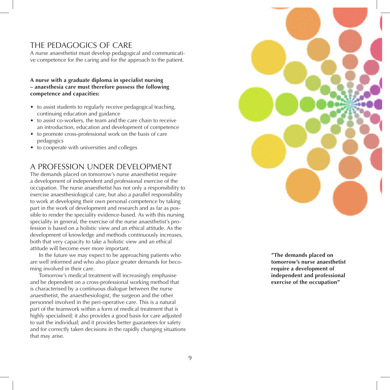## The pedagogics of care

A nurse anaesthetist must develop pedagogical and communicati ve competence for the caring and for the approach to the patient.

#### **A nurse with a graduate diploma in specialist nursing – anaesthesia care must therefore possess the following competence and capacities:**

- to assist students to regularly receive pedagogical teaching, continuing education and guidance
- to assist co-workers, the team and the care chain to receive an introduction, education and development of competence
- to promote cross-professional work on the basis of care pedagogics
- to cooperate with universities and colleges

## A profession under development

The demands placed on tomorrow's nurse anaesthetist require a development of independent and professional exercise of the occupation. The nurse anaesthetist has not only a responsibility to exercise anaesthesiological care, but also a parallel responsibility to work at developing their own personal competence by taking part in the work of development and research and as far as pos sible to render the speciality evidence-based. As with this nursing speciality in general, the exercise of the nurse anaesthetist's pro fession is based on a holistic view and an ethical attitude. As the development of knowledge and methods continuously increases, both that very capacity to take a holistic view and an ethical attitude will become ever more important.

In the future we may expect to be approaching patients who are well informed and who also place greater demands for beco ming involved in their care.

Tomorrow's medical treatment will increasingly emphasise and be dependent on a cross-professional working method that is characterised by a continuous dialogue between the nurse anaesthetist, the anaesthesiologist, the surgeon and the other personnel involved in the peri-operative care. This is a natural part of the teamwork within a form of medical treatment that is highly specialised; it also provides a good basis for care adjusted to suit the individual; and it provides better guarantees for safety and for correctly taken decisions in the rapidly changing situations that may arise.



**" The demands placed on tomorrow's nurse anaesthetist require a development of independent and professional exercise of the occupation"**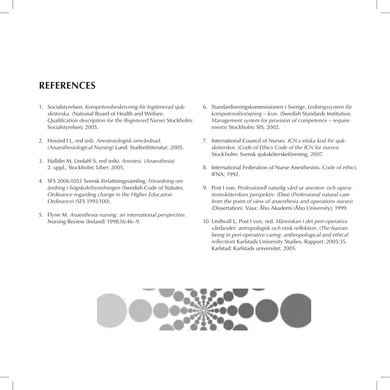## **REFERENCES**

- 1. Socialstyrelsen. *Kompetensbeskrivning för legitimerad sjuksköterska.* (National Board of Health and Welfare. *Qualification description for the Registered Nurse*) Stockholm: Socialstyrelsen; 2005.
- 2. Hovind I L, red (ed). *Anestesiologisk omvårdnad*. (*Anaesthesiological Nursing*) Lund: Studentlitteratur; 2005.
- 3. Halldin M, Lindahl S, red (eds). *Anestesi.* (*Anaesthesia*) 2. uppl., Stockholm: Liber; 2005.
- 4. SFS 2006:1053 Svensk författningssamling. *Förordning om ändring i högskoleförordningen* (Swedish Code of Statutes. *Ordinance regarding change in the Higher Education Ordinance*) (SFS 1993:100).
- 5. Flynn M. *Anaesthesia nursing: an international perspective.*  Nursing Review (Ireland) 1998;16:46–9.
- 6. Standardiseringskommissionen i Sverige. *Ledningssystem för kompetensförsörjning – krav.* (Swedish Standards Institution. *Management system for provision of competence – require ments*) Stockholm: SIS; 2002.
- 7. International Council of Nurses. *ICN:s etiska kod för sjuksköterskor.* (*Code of Ethics Code of the ICN for nurses*) Stockholm: Svensk sjuksköterskeförening; 2007.
- 8. International Federation of Nurse Anesthesists. *Code of ethics.*  IFNA; 1992.
- 9. Post I von. *Professionell naturlig vård ur anestesi- och operationssköterskors perspektiv.* (Diss) (*Professional natural care from the point of view of anaesthesia and operations nurses*) (Dissertation). Vasa: Åbo Akademi (Åbo University); 1999.
- 10. Lindwall L, Post I von, red. *Människan i det peri-operativa vårdandet: antropologisk och etisk reflektion.* (*The human being in peri-operative caring: anthropological and ethical reflection*) Karlstads University Studies. Rapport: 2005:35. Karlstad: Karlstads universitet; 2005.

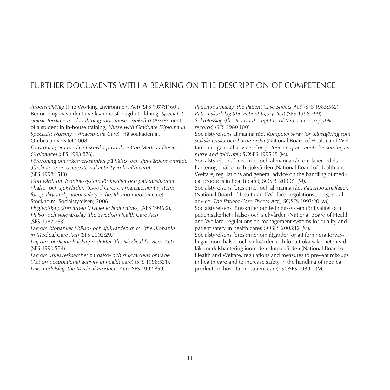## Further documents with a bearing on the description of competence

*Arbetsmiljölag* (The Working Environment Act) (SFS 1977:1160). Bedömning av student i verksamhetsförlagd utbildning, *Specialistsjuksköterska – med inriktning mot anestesisjukvård* (Assessment of a student in in-house training, *Nurse with Graduate Diploma in Specialist Nursing – Anaesthesia Care*), Hälsoakademin,

Örebro universitet 2008.

*Förordning om medicintekniska produkter* (*the Medical Devices Ordinance*) (SFS 1993:876).

*Förordning om yrkesverksamhet på hälso- och sjukvårdens område* (*Ordinance on occupational activity in health care*) (SFS 1998:1513).

*God vård: om ledningssystem för kvalitet och patientsäkerhet i hälso- och sjukvården.* (*Good care: on management systems for quality and patient safety in health and medical care*) Stockholm: Socialstyrelsen; 2006.

*Hygieniska gränsvärden* (*Hygienic limit values*) (AFS 1996:2). *Hälso- och sjukvårdslag* (*the Swedish Health Care Act*) (SFS 1982:763).

*Lag om biobanker i hälso- och sjukvården m.m.* (*the Biobanks in Medical Care Act*) (SFS 2002:297).

*Lag om medicintekniska produkter* (*the Medical Devices Act*) (SFS 1993:584).

*Lag om yrkesverksamhet på hälso- och sjukvårdens område* (*Act on occupational activity in health care*) (SFS 1998:531). *Läkemedelslag* (*the Medical Products Act*) (SFS 1992:859).

*Patientjournallag* (*the Patient Case Sheets Act*) (SFS 1985:562). *Patientskadelag* (*the Patient Injury Act*) (SFS 1996:799). *Sekretesslag* (*the Act on the right to obtain access to public records*) (SFS 1980:100).

Socialstyrelsens allmänna råd. *Kompetenskrav för tjänstgöring som sjuksköterska och barnmorska* (National Board of Health and Welfare, and general advice. *Competence requirements for serving as nurse and midwife*); SOSFS 1995:15 (M).

Socialstyrelsens föreskrifter och allmänna råd om läkemedelshantering i hälso- och sjukvården (National Board of Health and Welfare, regulations and general advice on the handling of medical products in health care); SOSFS 2000:1 (M).

Socialstyrelsens föreskrifter och allmänna råd. *Patientjournallagen*  (National Board of Health and Welfare, regulations and general advice. *The Patient Case Sheets Act*); SOSFS 1993:20 (M). Socialstyrelsens föreskrifter om ledningssystem för kvalitet och patientsäkerhet i hälso- och sjukvården (National Board of Health and Welfare, regulations on management systems for quality and patient safety in health care); SOSFS 2005:12 (M). Socialstyrelsens föreskrifter om åtgärder för att förhindra förväxlingar inom hälso- och sjukvården och för att öka säkerheten vid läkemedelshantering inom den slutna vården (National Board of Health and Welfare, regulations and measures to prevent mix-ups in health care and to increase safety in the handling of medical products in hospital in-patient care); SOSFS 1989:1 (M).